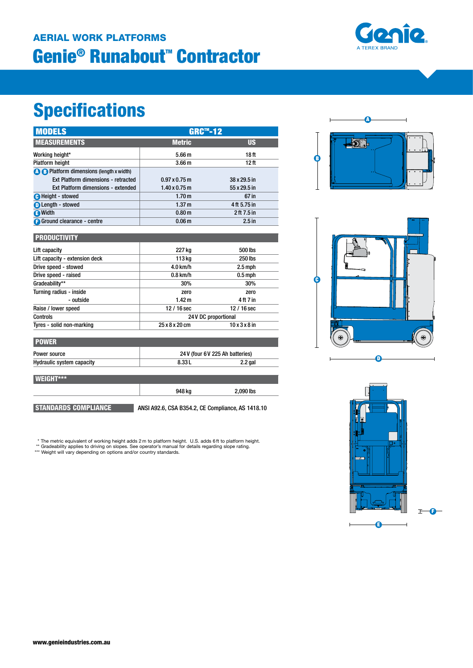### Genie® Runabout<sup>™</sup> Contractor AERIAL WORK PLATFORMS



# **Specifications**

| <b>MODELS</b>                                   | <b>GRC™-12</b>                   |                           |
|-------------------------------------------------|----------------------------------|---------------------------|
| <b>MEASUREMENTS</b>                             | <b>Metric</b>                    | <b>US</b>                 |
| Working height*                                 | 5.66 <sub>m</sub>                | 18 <sub>ft</sub>          |
| <b>Platform height</b>                          | 3.66 <sub>m</sub>                | 12 <sub>ft</sub>          |
| <b>A B</b> Platform dimensions (length x width) |                                  |                           |
| Ext Platform dimensions - retracted             | $0.97 \times 0.75$ m             | 38 x 29.5 in              |
| Ext Platform dimensions - extended              | $1.40 \times 0.75$ m             | 55 x 29.5 in              |
| <b>O</b> Height - stowed                        | 1.70 <sub>m</sub>                | 67 in                     |
| <b>O</b> Length - stowed                        | 1.37 <sub>m</sub>                | 4 ft 5.75 in              |
| <b>O</b> Width                                  | 0.80 <sub>m</sub>                | 2 ft 7.5 in               |
| <b>Ground clearance - centre</b>                | 0.06 <sub>m</sub>                | $2.5$ in                  |
| <b>PRODUCTIVITY</b>                             |                                  |                           |
| Lift capacity                                   | 227 kg                           | 500 lbs                   |
| Lift capacity - extension deck                  | 113 kg                           | 250 lbs                   |
| Drive speed - stowed                            | $4.0$ km/h                       | $2.5$ mph                 |
| Drive speed - raised                            | $0.8$ km/h                       | $0.5$ mph                 |
| Gradeability**                                  | 30%                              | 30%                       |
| Turning radius - inside                         | zero                             | zero                      |
| - outside                                       | 1.42 <sub>m</sub>                | 4 ft 7 in                 |
| Raise / lower speed                             | 12 / 16 sec                      | 12 / 16 sec               |
| Controls                                        | 24V DC proportional              |                           |
| Tyres - solid non-marking                       | 25 x 8 x 20 cm                   | $10 \times 3 \times 8$ in |
| <b>POWER</b>                                    |                                  |                           |
| Power source                                    | 24 V (four 6 V 225 Ah batteries) |                           |
| <b>Hydraulic system capacity</b>                | 8.33L                            | $2.2$ gal                 |
| <b>WEIGHT***</b>                                |                                  |                           |
|                                                 | 948 ka                           | 2.090 lbs                 |

STANDARDS COMPLIANCE ANSI A92.6, CSA B354.2, CE Compliance, AS 1418.10

\* The metric equivalent of working height adds 2 m to platform height. U.S. adds 6 ft to platform height.

\*\* Gradeability applies to driving on slopes. See operator's manual for details regarding slope rating.<br>\*\*\* Weight will vary depending on options and/or country standards.